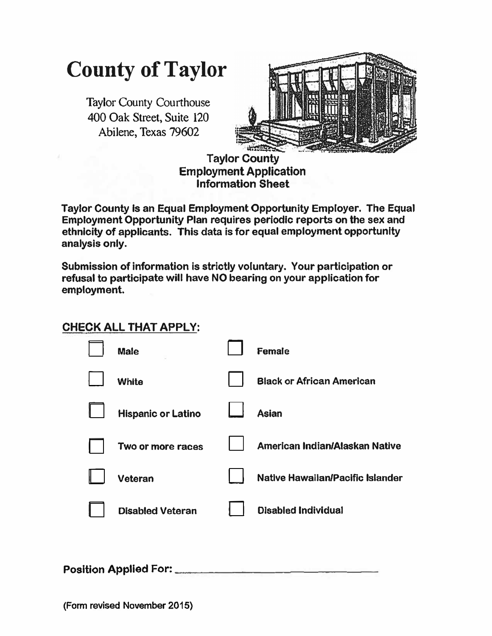## **County of Taylor**

Taylor County Courthouse 400 Oak Street, Suite 120 Abilene, Texas 79602



**Taylor County Employment Application Information Sheet** 

Taylor County is an Equal Employment Opportunity Employer. The Equal **Employment Opportunity Plan requires periodic reports on the sex and ethnicity of applicants. This data is for equal employment opportunity analysis only.** 

**Submission of information is strictly voluntary. Your participation or refusal to participate will have NO bearing on your application for employment.** 

## **CHECK ALL THAT APPLY:**

|                              | <b>Male</b>               |  | Female                           |  |  |
|------------------------------|---------------------------|--|----------------------------------|--|--|
|                              | <b>White</b>              |  | <b>Black or African American</b> |  |  |
|                              | <b>Hispanic or Latino</b> |  | <b>Asian</b>                     |  |  |
|                              | Two or more races         |  | American Indian/Alaskan Native   |  |  |
|                              | Veteran                   |  | Native Hawaiian/Pacific Islander |  |  |
|                              | <b>Disabled Veteran</b>   |  | <b>Disabled Individual</b>       |  |  |
|                              |                           |  |                                  |  |  |
| <b>Position Applied For:</b> |                           |  |                                  |  |  |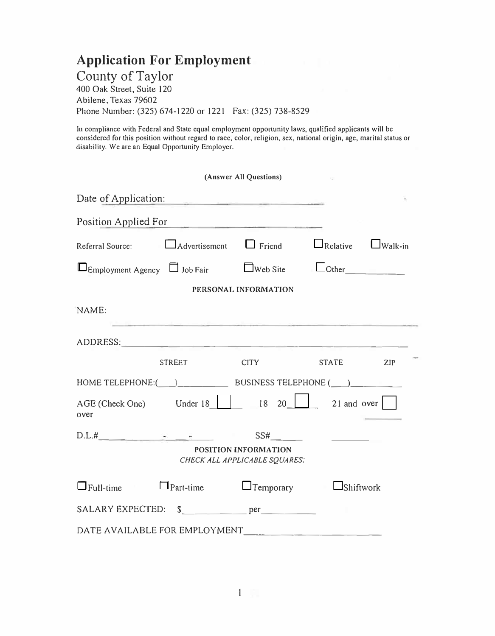## **Application For Employment**

County of Taylor 400 Oak Street, Suite 120 Abilene, Texas 79602 Phone Number: (325) 674-1220 or 1221 Fax: (325) 738-8529

In compliance with Federal and State equal employment opporlunity laws, qualified applicants will be considered for this position without regard to race, color, religion, sex, national origin, age, marital status or disability. We are an Equal Opportunity Employer.

|                                                                                                                                                                        |                                           | (Answer All Questions)                         |                                                |  |  |  |  |
|------------------------------------------------------------------------------------------------------------------------------------------------------------------------|-------------------------------------------|------------------------------------------------|------------------------------------------------|--|--|--|--|
| Date of Application:                                                                                                                                                   |                                           | <u> 1970 - La Branch Barbara, amerikan per</u> |                                                |  |  |  |  |
| Position Applied For                                                                                                                                                   |                                           |                                                |                                                |  |  |  |  |
| Referral Source:                                                                                                                                                       |                                           | $\Box$ Advertisement $\Box$ Friend             | $\Box_{\text{Relative}}$<br>$\Box$ Walk-in     |  |  |  |  |
| $\Box$ Employment Agency $\Box$ Job Fair $\Box$ Web Site                                                                                                               |                                           |                                                | $\Box$ Other                                   |  |  |  |  |
|                                                                                                                                                                        |                                           | PERSONAL INFORMATION                           |                                                |  |  |  |  |
| NAME:                                                                                                                                                                  | the company of the company of the company |                                                |                                                |  |  |  |  |
| ADDRESS:                                                                                                                                                               |                                           |                                                |                                                |  |  |  |  |
|                                                                                                                                                                        | <b>STREET</b>                             | <b>CITY</b>                                    | <b>STATE</b><br>ZIP                            |  |  |  |  |
|                                                                                                                                                                        |                                           |                                                |                                                |  |  |  |  |
| over                                                                                                                                                                   |                                           |                                                | AGE (Check One) Under 18   18 20   21 and over |  |  |  |  |
| $D.L.#$ $\qquad \qquad \qquad \qquad \qquad \qquad \qquad \qquad$<br>SS#<br><b>Contract Contract Contract</b><br>POSITION INFORMATION<br>CHECK ALL APPLICABLE SQUARES: |                                           |                                                |                                                |  |  |  |  |
| $\Box$ Full-time<br>$\sim 10^{11}$ m $^{-1}$                                                                                                                           | $\Box$ Part-time $\Box$ Temporary         |                                                | $\Box$ Shiftwork                               |  |  |  |  |
|                                                                                                                                                                        |                                           |                                                |                                                |  |  |  |  |
|                                                                                                                                                                        |                                           |                                                |                                                |  |  |  |  |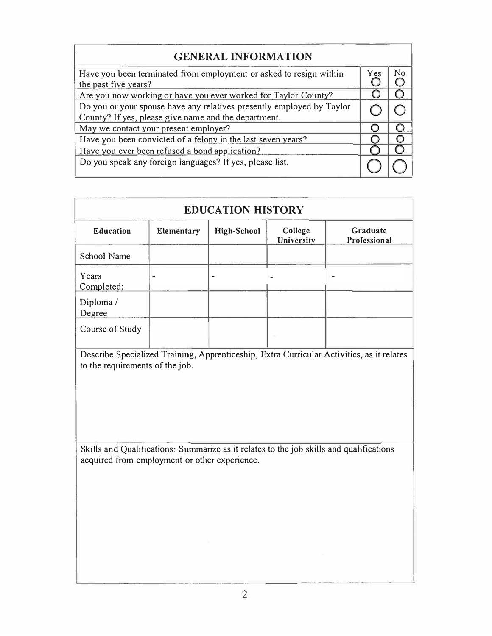| <b>GENERAL INFORMATION</b>                                                                                                    |     |    |
|-------------------------------------------------------------------------------------------------------------------------------|-----|----|
| Have you been terminated from employment or asked to resign within<br>the past five years?                                    | Yes | No |
| Are you now working or have you ever worked for Taylor County?                                                                |     |    |
| Do you or your spouse have any relatives presently employed by Taylor<br>County? If yes, please give name and the department. |     |    |
| May we contact your present employer?                                                                                         |     |    |
| Have you been convicted of a felony in the last seven years?                                                                  |     |    |
| Have you ever been refused a bond application?                                                                                |     |    |
| Do you speak any foreign languages? If yes, please list.                                                                      |     |    |

| <b>EDUCATION HISTORY</b> |                                                                                                                                          |                    |                       |                          |  |  |
|--------------------------|------------------------------------------------------------------------------------------------------------------------------------------|--------------------|-----------------------|--------------------------|--|--|
| Education                | Elementary                                                                                                                               | <b>High-School</b> | College<br>University | Graduate<br>Professional |  |  |
| School Name              |                                                                                                                                          |                    |                       |                          |  |  |
| Years<br>Completed:      |                                                                                                                                          |                    |                       |                          |  |  |
| Diploma /<br>Degree      |                                                                                                                                          |                    |                       |                          |  |  |
| Course of Study          |                                                                                                                                          |                    |                       |                          |  |  |
|                          |                                                                                                                                          |                    |                       |                          |  |  |
|                          | Skills and Qualifications: Summarize as it relates to the job skills and qualifications<br>acquired from employment or other experience. |                    |                       |                          |  |  |
|                          |                                                                                                                                          |                    |                       |                          |  |  |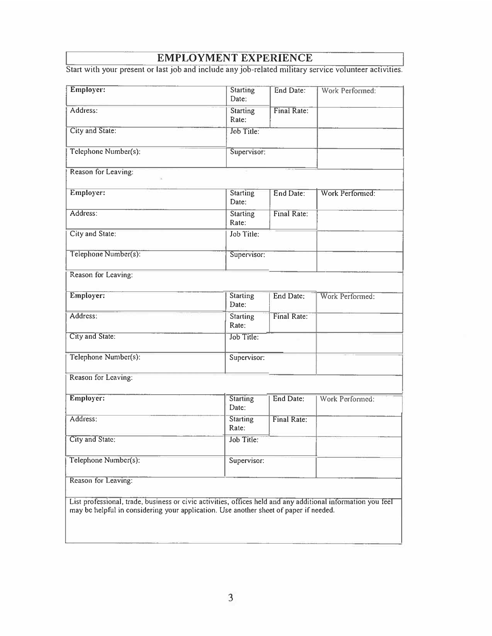## **EMPLOYMENT EXPERIENCE**

Start with your present or last job and include any job-related military service volunteer activities.

| Employer:            | <b>Starting</b><br>Date: | End Date:   | Work Performed: |
|----------------------|--------------------------|-------------|-----------------|
| Address:             | Starting<br>Rate:        | Final Rate: |                 |
| City and State:      | Job Title:               |             |                 |
| Telephone Number(s): |                          | Supervisor: |                 |
| Reason for Leaving:  |                          |             |                 |
| Employer:            | Starting<br>Date:        | End Date:   | Work Performed: |
| Address:             | <b>Starting</b><br>Rate: | Final Rate: |                 |
| City and State:      | Job Title:               |             |                 |
| Telephone Number(s): |                          | Supervisor: |                 |
| Reason for Leaving:  |                          |             |                 |
| Employer:            | Starting<br>Date:        | End Date:   | Work Performed: |
| Address:             | <b>Starting</b><br>Rate: | Final Rate: |                 |
| City and State:      | Job Title:               |             |                 |
| Telephone Number(s): |                          | Supervisor: |                 |
| Reason for Leaving:  |                          |             |                 |
| Employer:            | <b>Starting</b><br>Date: | End Date:   | Work Performed: |
| Address:             | <b>Starting</b><br>Rate: | Final Rate: |                 |
| City and State:      | Job Title:               |             |                 |
| Telephone Number(s): |                          | Supervisor: |                 |
|                      |                          |             |                 |